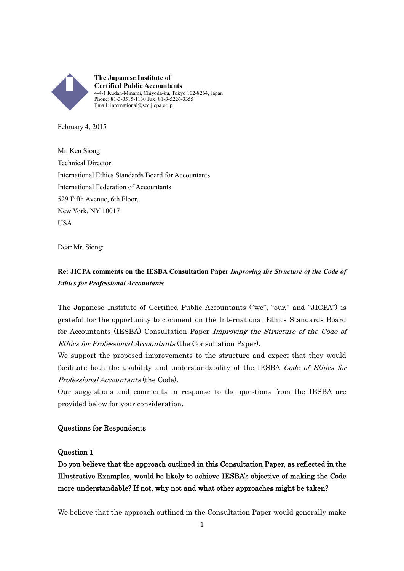

February 4, 2015

Mr. Ken Siong Technical Director International Ethics Standards Board for Accountants International Federation of Accountants 529 Fifth Avenue, 6th Floor, New York, NY 10017 **USA** 

Dear Mr. Siong:

# **Re: JICPA comments on the IESBA Consultation Paper** *Improving the Structure of the Code of Ethics for Professional Accountants*

The Japanese Institute of Certified Public Accountants ("we", "our," and "JICPA") is grateful for the opportunity to comment on the International Ethics Standards Board for Accountants (IESBA) Consultation Paper Improving the Structure of the Code of Ethics for Professional Accountants (the Consultation Paper).

We support the proposed improvements to the structure and expect that they would facilitate both the usability and understandability of the IESBA Code of Ethics for Professional Accountants (the Code).

Our suggestions and comments in response to the questions from the IESBA are provided below for your consideration.

### Questions for Respondents

### Question 1

Do you believe that the approach outlined in this Consultation Paper, as reflected in the Illustrative Examples, would be likely to achieve IESBA's objective of making the Code more understandable? If not, why not and what other approaches might be taken?

We believe that the approach outlined in the Consultation Paper would generally make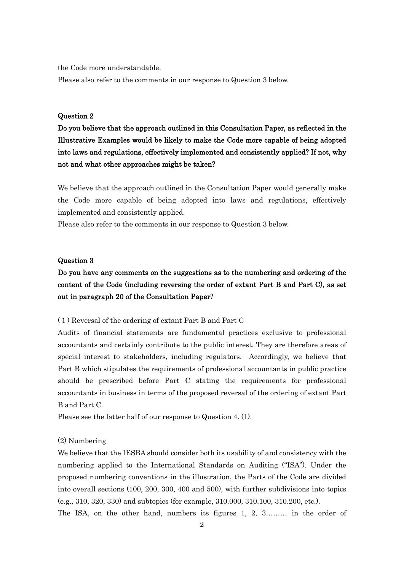the Code more understandable.

Please also refer to the comments in our response to Question 3 below.

### Question 2

Do you believe that the approach outlined in this Consultation Paper, as reflected in the Illustrative Examples would be likely to make the Code more capable of being adopted into laws and regulations, effectively implemented and consistently applied? If not, why not and what other approaches might be taken?

We believe that the approach outlined in the Consultation Paper would generally make the Code more capable of being adopted into laws and regulations, effectively implemented and consistently applied.

Please also refer to the comments in our response to Question 3 below.

### Question 3

# Do you have any comments on the suggestions as to the numbering and ordering of the content of the Code (including reversing the order of extant Part B and Part C), as set out in paragraph 20 of the Consultation Paper?

(1) Reversal of the ordering of extant Part B and Part C

Audits of financial statements are fundamental practices exclusive to professional accountants and certainly contribute to the public interest. They are therefore areas of special interest to stakeholders, including regulators. Accordingly, we believe that Part B which stipulates the requirements of professional accountants in public practice should be prescribed before Part C stating the requirements for professional accountants in business in terms of the proposed reversal of the ordering of extant Part B and Part C.

Please see the latter half of our response to Question 4. (1).

### (2) Numbering

We believe that the IESBA should consider both its usability of and consistency with the numbering applied to the International Standards on Auditing ("ISA"). Under the proposed numbering conventions in the illustration, the Parts of the Code are divided into overall sections (100, 200, 300, 400 and 500), with further subdivisions into topics (e.g., 310, 320, 330) and subtopics (for example, 310.000, 310.100, 310.200, etc.).

The ISA, on the other hand, numbers its figures 1, 2, 3……… in the order of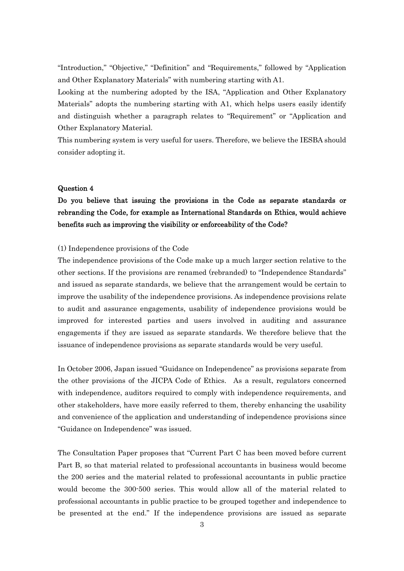"Introduction," "Objective," "Definition" and "Requirements," followed by "Application and Other Explanatory Materials" with numbering starting with A1.

Looking at the numbering adopted by the ISA, "Application and Other Explanatory Materials" adopts the numbering starting with A1, which helps users easily identify and distinguish whether a paragraph relates to "Requirement" or "Application and Other Explanatory Material.

This numbering system is very useful for users. Therefore, we believe the IESBA should consider adopting it.

### Question 4

# Do you believe that issuing the provisions in the Code as separate standards or rebranding the Code, for example as International Standards on Ethics, would achieve benefits such as improving the visibility or enforceability of the Code?

### (1) Independence provisions of the Code

The independence provisions of the Code make up a much larger section relative to the other sections. If the provisions are renamed (rebranded) to "Independence Standards" and issued as separate standards, we believe that the arrangement would be certain to improve the usability of the independence provisions. As independence provisions relate to audit and assurance engagements, usability of independence provisions would be improved for interested parties and users involved in auditing and assurance engagements if they are issued as separate standards. We therefore believe that the issuance of independence provisions as separate standards would be very useful.

In October 2006, Japan issued "Guidance on Independence" as provisions separate from the other provisions of the JICPA Code of Ethics. As a result, regulators concerned with independence, auditors required to comply with independence requirements, and other stakeholders, have more easily referred to them, thereby enhancing the usability and convenience of the application and understanding of independence provisions since "Guidance on Independence" was issued.

The Consultation Paper proposes that "Current Part C has been moved before current Part B, so that material related to professional accountants in business would become the 200 series and the material related to professional accountants in public practice would become the 300-500 series. This would allow all of the material related to professional accountants in public practice to be grouped together and independence to be presented at the end." If the independence provisions are issued as separate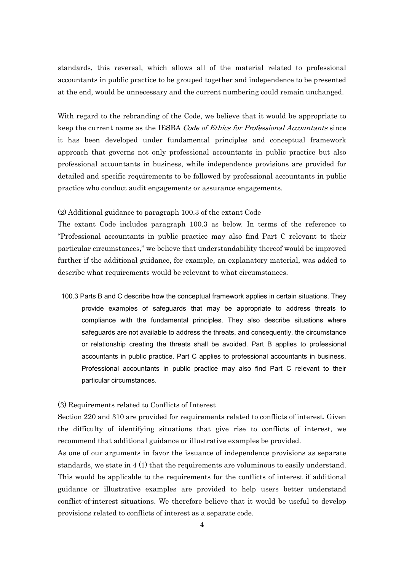standards, this reversal, which allows all of the material related to professional accountants in public practice to be grouped together and independence to be presented at the end, would be unnecessary and the current numbering could remain unchanged.

With regard to the rebranding of the Code, we believe that it would be appropriate to keep the current name as the IESBA Code of Ethics for Professional Accountants since it has been developed under fundamental principles and conceptual framework approach that governs not only professional accountants in public practice but also professional accountants in business, while independence provisions are provided for detailed and specific requirements to be followed by professional accountants in public practice who conduct audit engagements or assurance engagements.

### (2) Additional guidance to paragraph 100.3 of the extant Code

The extant Code includes paragraph 100.3 as below. In terms of the reference to "Professional accountants in public practice may also find Part C relevant to their particular circumstances," we believe that understandability thereof would be improved further if the additional guidance, for example, an explanatory material, was added to describe what requirements would be relevant to what circumstances.

100.3 Parts B and C describe how the conceptual framework applies in certain situations. They provide examples of safeguards that may be appropriate to address threats to compliance with the fundamental principles. They also describe situations where safeguards are not available to address the threats, and consequently, the circumstance or relationship creating the threats shall be avoided. Part B applies to professional accountants in public practice. Part C applies to professional accountants in business. Professional accountants in public practice may also find Part C relevant to their particular circumstances.

### (3) Requirements related to Conflicts of Interest

Section 220 and 310 are provided for requirements related to conflicts of interest. Given the difficulty of identifying situations that give rise to conflicts of interest, we recommend that additional guidance or illustrative examples be provided.

As one of our arguments in favor the issuance of independence provisions as separate standards, we state in  $4(1)$  that the requirements are voluminous to easily understand. This would be applicable to the requirements for the conflicts of interest if additional guidance or illustrative examples are provided to help users better understand conflict-of-interest situations. We therefore believe that it would be useful to develop provisions related to conflicts of interest as a separate code.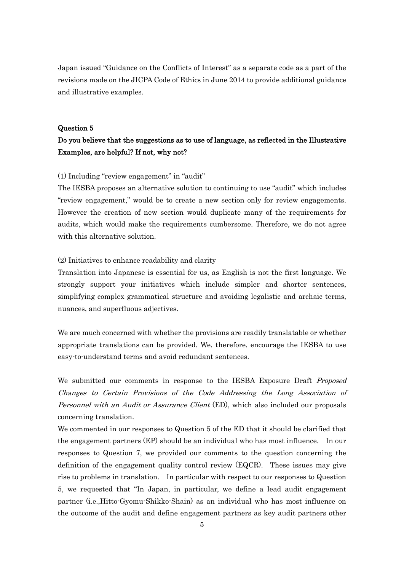Japan issued "Guidance on the Conflicts of Interest" as a separate code as a part of the revisions made on the JICPA Code of Ethics in June 2014 to provide additional guidance and illustrative examples.

### Question 5

## Do you believe that the suggestions as to use of language, as reflected in the Illustrative Examples, are helpful? If not, why not?

### (1) Including "review engagement" in "audit"

The IESBA proposes an alternative solution to continuing to use "audit" which includes "review engagement," would be to create a new section only for review engagements. However the creation of new section would duplicate many of the requirements for audits, which would make the requirements cumbersome. Therefore, we do not agree with this alternative solution.

### (2) Initiatives to enhance readability and clarity

Translation into Japanese is essential for us, as English is not the first language. We strongly support your initiatives which include simpler and shorter sentences, simplifying complex grammatical structure and avoiding legalistic and archaic terms, nuances, and superfluous adjectives.

We are much concerned with whether the provisions are readily translatable or whether appropriate translations can be provided. We, therefore, encourage the IESBA to use easy-to-understand terms and avoid redundant sentences.

We submitted our comments in response to the IESBA Exposure Draft *Proposed* Changes to Certain Provisions of the Code Addressing the Long Association of Personnel with an Audit or Assurance Client (ED), which also included our proposals concerning translation.

We commented in our responses to Question 5 of the ED that it should be clarified that the engagement partners (EP) should be an individual who has most influence. In our responses to Question 7, we provided our comments to the question concerning the definition of the engagement quality control review (EQCR). These issues may give rise to problems in translation. In particular with respect to our responses to Question 5, we requested that "In Japan, in particular, we define a lead audit engagement partner (i.e.,Hitto-Gyomu-Shikko-Shain) as an individual who has most influence on the outcome of the audit and define engagement partners as key audit partners other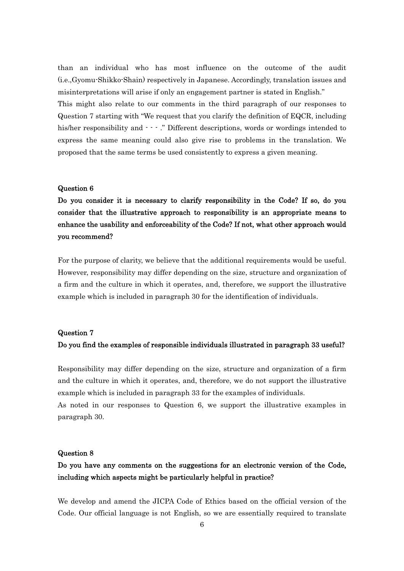than an individual who has most influence on the outcome of the audit (i.e.,Gyomu-Shikko-Shain) respectively in Japanese. Accordingly, translation issues and misinterpretations will arise if only an engagement partner is stated in English."

This might also relate to our comments in the third paragraph of our responses to Question 7 starting with "We request that you clarify the definition of EQCR, including his/her responsibility and  $\cdot \cdot \cdot$ ." Different descriptions, words or wordings intended to express the same meaning could also give rise to problems in the translation. We proposed that the same terms be used consistently to express a given meaning.

### Question 6

Do you consider it is necessary to clarify responsibility in the Code? If so, do you consider that the illustrative approach to responsibility is an appropriate means to enhance the usability and enforceability of the Code? If not, what other approach would you recommend?

For the purpose of clarity, we believe that the additional requirements would be useful. However, responsibility may differ depending on the size, structure and organization of a firm and the culture in which it operates, and, therefore, we support the illustrative example which is included in paragraph 30 for the identification of individuals.

### Question 7

### Do you find the examples of responsible individuals illustrated in paragraph 33 useful?

Responsibility may differ depending on the size, structure and organization of a firm and the culture in which it operates, and, therefore, we do not support the illustrative example which is included in paragraph 33 for the examples of individuals.

As noted in our responses to Question 6, we support the illustrative examples in paragraph 30.

### Question 8

## Do you have any comments on the suggestions for an electronic version of the Code, including which aspects might be particularly helpful in practice?

We develop and amend the JICPA Code of Ethics based on the official version of the Code. Our official language is not English, so we are essentially required to translate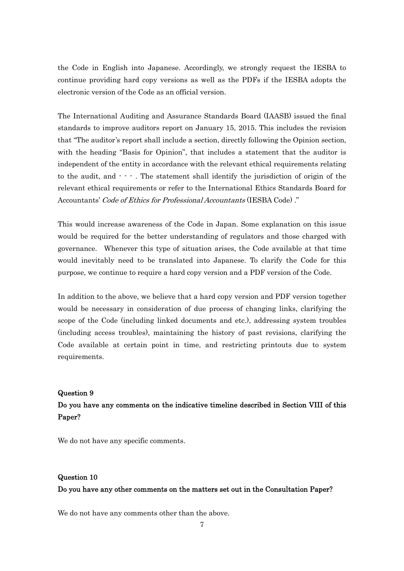the Code in English into Japanese. Accordingly, we strongly request the IESBA to continue providing hard copy versions as well as the PDFs if the IESBA adopts the electronic version of the Code as an official version.

The International Auditing and Assurance Standards Board (IAASB) issued the final standards to improve auditors report on January 15, 2015. This includes the revision that "The auditor's report shall include a section, directly following the Opinion section, with the heading "Basis for Opinion", that includes a statement that the auditor is independent of the entity in accordance with the relevant ethical requirements relating to the audit, and  $\cdot \cdot \cdot$ . The statement shall identify the jurisdiction of origin of the relevant ethical requirements or refer to the International Ethics Standards Board for Accountants' Code of Ethics for Professional Accountants (IESBA Code) ."

This would increase awareness of the Code in Japan. Some explanation on this issue would be required for the better understanding of regulators and those charged with governance. Whenever this type of situation arises, the Code available at that time would inevitably need to be translated into Japanese. To clarify the Code for this purpose, we continue to require a hard copy version and a PDF version of the Code.

In addition to the above, we believe that a hard copy version and PDF version together would be necessary in consideration of due process of changing links, clarifying the scope of the Code (including linked documents and etc.), addressing system troubles (including access troubles), maintaining the history of past revisions, clarifying the Code available at certain point in time, and restricting printouts due to system requirements.

#### Question 9

## Do you have any comments on the indicative timeline described in Section VIII of this Paper?

We do not have any specific comments.

### Question 10

### Do you have any other comments on the matters set out in the Consultation Paper?

We do not have any comments other than the above.